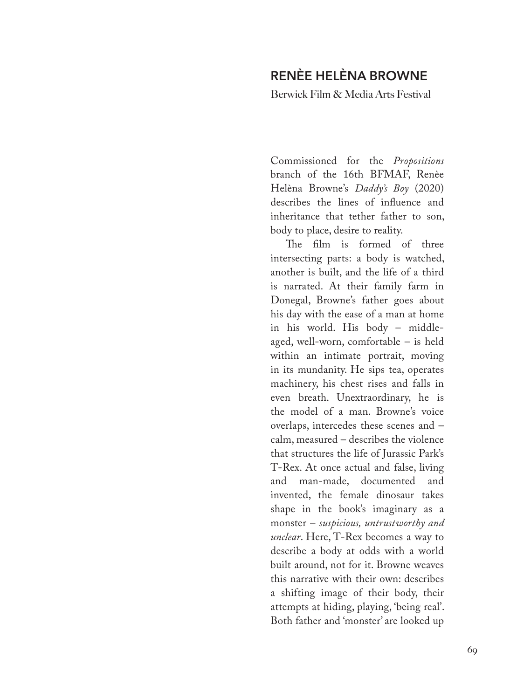## **RENÈE HELÈNA BROWNE**

Berwick Film & Media Arts Festival

Commissioned for the *Propositions*  branch of the 16th BFMAF, Renèe Helèna Browne's *Daddy's Boy* (2020) describes the lines of influence and inheritance that tether father to son, body to place, desire to reality.

The film is formed of three intersecting parts: a body is watched, another is built, and the life of a third is narrated. At their family farm in Donegal, Browne's father goes about his day with the ease of a man at home in his world. His body – middleaged, well-worn, comfortable – is held within an intimate portrait, moving in its mundanity. He sips tea, operates machinery, his chest rises and falls in even breath. Unextraordinary, he is the model of a man. Browne's voice overlaps, intercedes these scenes and – calm, measured – describes the violence that structures the life of Jurassic Park's T-Rex. At once actual and false, living and man-made, documented and invented, the female dinosaur takes shape in the book's imaginary as a monster – *suspicious, untrustworthy and unclear*. Here, T-Rex becomes a way to describe a body at odds with a world built around, not for it. Browne weaves this narrative with their own: describes a shifting image of their body, their attempts at hiding, playing, 'being real'. Both father and 'monster' are looked up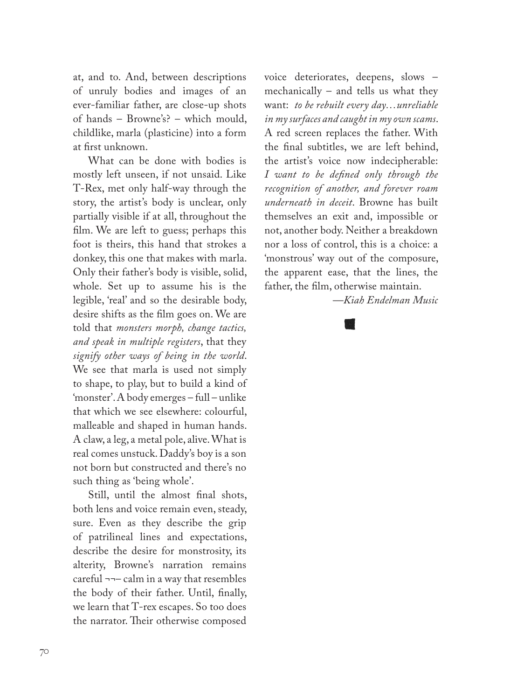at, and to. And, between descriptions of unruly bodies and images of an ever-familiar father, are close-up shots of hands – Browne's? – which mould, childlike, marla (plasticine) into a form at first unknown.

What can be done with bodies is mostly left unseen, if not unsaid. Like T-Rex, met only half-way through the story, the artist's body is unclear, only partially visible if at all, throughout the film. We are left to guess; perhaps this foot is theirs, this hand that strokes a donkey, this one that makes with marla. Only their father's body is visible, solid, whole. Set up to assume his is the legible, 'real' and so the desirable body, desire shifts as the film goes on. We are told that *monsters morph, change tactics, and speak in multiple registers*, that they *signify other ways of being in the world*. We see that marla is used not simply to shape, to play, but to build a kind of 'monster'. A body emerges – full – unlike that which we see elsewhere: colourful, malleable and shaped in human hands. A claw, a leg, a metal pole, alive. What is real comes unstuck. Daddy's boy is a son not born but constructed and there's no such thing as 'being whole'.

Still, until the almost final shots, both lens and voice remain even, steady, sure. Even as they describe the grip of patrilineal lines and expectations, describe the desire for monstrosity, its alterity, Browne's narration remains careful ¬¬– calm in a way that resembles the body of their father. Until, finally, we learn that T-rex escapes. So too does the narrator. Their otherwise composed

voice deteriorates, deepens, slows – mechanically – and tells us what they want: *to be rebuilt every day…unreliable in my surfaces and caught in my own scams*. A red screen replaces the father. With the final subtitles, we are left behind, the artist's voice now indecipherable: *I want to be defined only through the recognition of another, and forever roam underneath in deceit*. Browne has built themselves an exit and, impossible or not, another body. Neither a breakdown nor a loss of control, this is a choice: a 'monstrous' way out of the composure, the apparent ease, that the lines, the father, the film, otherwise maintain.

*—Kiah Endelman Music*